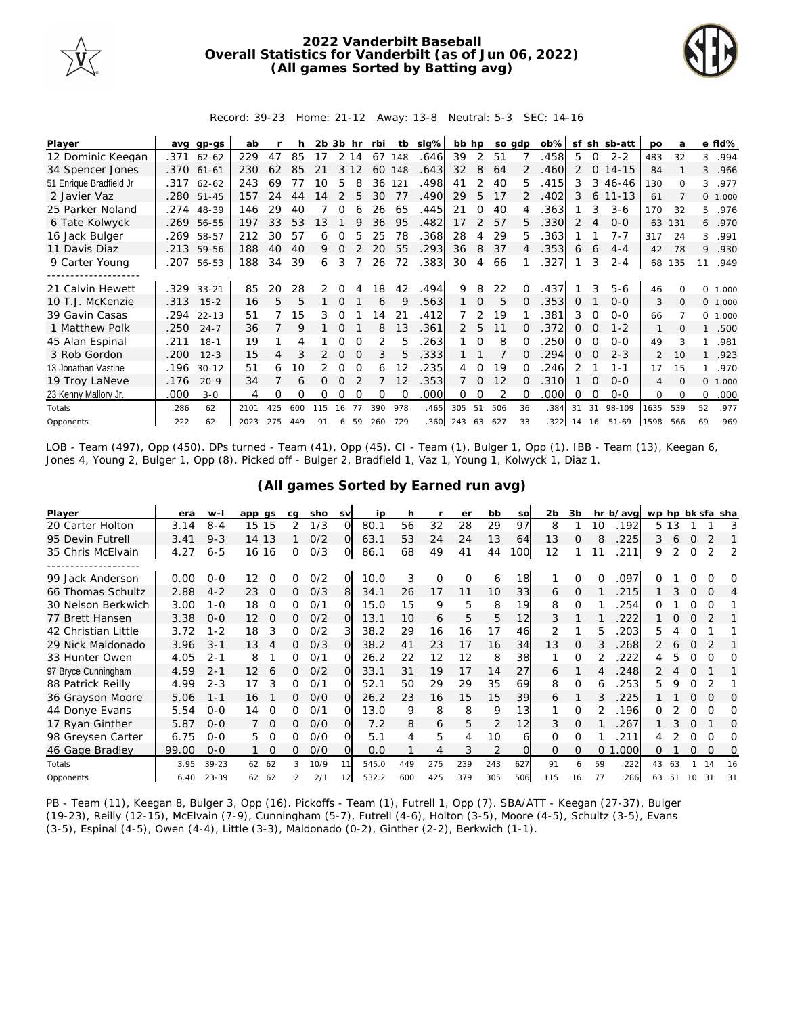

## **2022 Vanderbilt Baseball Overall Statistics for Vanderbilt (as of Jun 06, 2022) (All games Sorted by Batting avg)**



Record: 39-23 Home: 21-12 Away: 13-8 Neutral: 5-3 SEC: 14-16

| Player                  | ava  | gp-gs      | ab   |     | h   | 2b 3b |               | hr       | rbi      | tb          | slg% | bb hp          |               |     | so gdp       | $ob\%$ | sf       |          | sh sb-att | <b>DO</b>      | a        |              | e fld%  |
|-------------------------|------|------------|------|-----|-----|-------|---------------|----------|----------|-------------|------|----------------|---------------|-----|--------------|--------|----------|----------|-----------|----------------|----------|--------------|---------|
| 12 Dominic Keegan       | .371 | $62 - 62$  | 229  | 47  | 85  | 17    |               | 2 14     | 67       | 148         | .646 | 39             | 2             | -51 |              | .458   | 5        | $\Omega$ | $2 - 2$   | 483            | 32       | 3            | .994    |
| 34 Spencer Jones        |      | .370 61-61 | 230  | 62  | 85  | 21    | 3             | 12       | 60       | 148         | .643 | 32             | 8             | 64  |              | .460   | 2        | $\Omega$ | $14 - 15$ | 84             |          | 3            | .966    |
| 51 Enrique Bradfield Jr | .317 | $62 - 62$  | 243  | 69  | 77  | 10    | 5             |          | 36       | 121         | .498 | 41             | 2             | 40  | 5.           | 415    | 3        | 3        | 46-46     | 130            | $\Omega$ | 3            | .977    |
| 2 Javier Vaz            |      | .280 51-45 | 157  | 24  | 44  | 14    | $\mathcal{P}$ | 5        | 30       | 77          | .490 | 29             | 5             | 17  |              | .402   | 3        | 6        | $11 - 13$ | 61             |          |              | 0 1.000 |
| 25 Parker Noland        | .274 | 48-39      | 146  | 29  | 40  |       |               |          | 26       | 65          | .445 | 21             | $\Omega$      | 40  |              | 363    |          | 3        | $3-6$     | 170            | 32       | 5            | .976    |
| 6 Tate Kolwyck          | .269 | 56-55      | 197  | 33  | 53  | 13    |               |          | 36       | 95          | .482 | 17             | $\mathcal{P}$ | 57  | 5.           | .330   | 2        | 4        | $0 - 0$   | 63             | 131      | 6            | .970    |
| 16 Jack Bulger          | .269 | 58-57      | 212  | 30  | 57  | 6     | O             | 5        | 25       | 78          | .368 | 28             | 4             | 29  | 5.           | .363   |          |          | $7 - 7$   | 317            | 24       | 3            | .991    |
| 11 Davis Diaz           |      | .213 59-56 | 188  | 40  | 40  | 9     | $\Omega$      |          | 20       | 55          | .293 | 36             | 8             | 37  |              | .353   | 6        | 6        | $4 - 4$   | 42             | 78       | 9            | .930    |
| 9 Carter Young          | .207 | 56-53      | 188  | 34  | 39  | 6     | 3             |          | 26       | 72          | .383 | 30             | 4             | 66  |              | .327   |          | 3        | $2 - 4$   | 68             | 135      | 11           | .949    |
|                         |      |            |      |     |     |       |               |          |          |             |      |                |               |     |              |        |          |          |           |                |          |              |         |
| 21 Calvin Hewett        |      | .329 33-21 | 85   | 20  | 28  | 2     |               |          | 18       | 42          | .494 | 9              | 8             | 22  |              | 437    |          |          | $5 - 6$   | 46             |          | <sup>o</sup> | 1.000   |
| 10 T.J. McKenzie        | .313 | $15 - 2$   | 16   | 5   | 5   |       | $\Omega$      |          | 6        | $\mathsf Q$ | .563 |                | $\Omega$      | 5   | $\Omega$     | .353   | $\Omega$ |          | $0 - 0$   | 3              | $\Omega$ |              | 0 1.000 |
| 39 Gavin Casas          | .294 | $22 - 13$  | 51   |     | 15  | 3     | 0             |          | 14       | 21          | .412 |                | 2             | 19  |              | .381   | 3        | $\Omega$ | $O-O$     | 66             |          |              | 0 1.000 |
| 1 Matthew Polk          | .250 | $24 - 7$   | 36   |     | 9   |       | $\Omega$      |          | 8        | 13          | .361 | 2              | 5             | 11  | 0            | .372   | $\Omega$ | $\Omega$ | $1 - 2$   |                |          |              | .500    |
| 45 Alan Espinal         | .211 | $18 - 1$   | 19   |     | 4   |       |               | $\Omega$ | 2        | 5           | 263  |                | $\Omega$      | 8   |              | 250    | $\Omega$ |          | $O-O$     | 49             |          |              | .981    |
| 3 Rob Gordon            | .200 | $12 - 3$   | 15   | 4   |     | 2     | $\Omega$      | $\Omega$ | 3        | 5           | .333 |                |               |     |              | 294    | 0        | $\Omega$ | $2 - 3$   | $\overline{2}$ | 10       |              | .923    |
| 13 Jonathan Vastine     | .196 | $30 - 12$  | 51   |     | 10  | 2     | $\Omega$      | $\Omega$ | 6        | 12          | 235  | 4              | $\Omega$      | 19  |              | 246    | 2        |          | $1 - 1$   | 17             | 15       |              | .970    |
| 19 Troy LaNeve          | .176 | $20-9$     | 34   |     | 6   | 0     | $\Omega$      |          |          | 12          | .353 | $\overline{7}$ | $\Omega$      | 12  | <sup>n</sup> | .310   |          | $\Omega$ | $O-O$     | 4              | $\Omega$ | $\Omega$     | 1.000   |
| 23 Kenny Mallory Jr.    | .000 | $3 - 0$    | 4    | 0   | Ω   | 0     | O             |          | $\Omega$ | ∩           | .000 | 0              |               | 2   |              | .000   | O        | $\Omega$ | $O-O$     | $\Omega$       | $\Omega$ | 0            | .000    |
| Totals                  | .286 | 62         | 2101 | 425 | 600 | 115   | 16            | 77       | 390      | 978         | .465 | 305            | 51            | 506 | 36           | .384   | 31       | 31       | 98-109    | 1635           | 539      | 52           | .977    |
| Opponents               | .222 | 62         | 2023 | 275 | 449 | 91    |               | 6 59     | 260      | 729         | .360 | 243 63         |               | 627 | 33           | 322    | 14 16    |          | 51-69     | 1598           | 566      | 69           | .969    |

LOB - Team (497), Opp (450). DPs turned - Team (41), Opp (45). CI - Team (1), Bulger 1, Opp (1). IBB - Team (13), Keegan 6, Jones 4, Young 2, Bulger 1, Opp (8). Picked off - Bulger 2, Bradfield 1, Vaz 1, Young 1, Kolwyck 1, Diaz 1.

| Player              | era   | $W -$     | app gs            | ca             | sho  | <b>SV</b> | ip    | h   |     | er       | bb            | SO  | 2 <sub>b</sub> | 3b       |    | hr b/avg | wp hp bk sfa sha |       |          |          |    |
|---------------------|-------|-----------|-------------------|----------------|------|-----------|-------|-----|-----|----------|---------------|-----|----------------|----------|----|----------|------------------|-------|----------|----------|----|
| 20 Carter Holton    | 3.14  | $8 - 4$   | 15<br>15          |                | 1/3  | $\Omega$  | 80.1  | 56  | 32  | 28       | 29            | 97  | 8              |          | 10 | 192      |                  | 5 1 3 |          |          | 3  |
| 95 Devin Futrell    | 3.41  | $9 - 3$   | 14 13             |                | O/2  | $\Omega$  | 63.1  | 53  | 24  | 24       | 13            | 64  | 13             | $\Omega$ | 8  | 225      | 3                | 6     | $\Omega$ | 2        |    |
| 35 Chris McElvain   | 4.27  | $6 - 5$   | 16<br>16          | 0              | O/3  | 0         | 86.1  | 68  | 49  | 41       | 44            | 100 | 12             |          |    | 211      | 9                |       | 0        | 2        | 2  |
| 99 Jack Anderson    | 0.00  | $0 - 0$   | 12<br>O           | 0              | O/2  | O.        | 10.0  | 3   | 0   | $\Omega$ | 6             | 18  |                | 0        | O  | 097      |                  |       |          |          |    |
| 66 Thomas Schultz   | 2.88  | $4 - 2$   | 23<br>$\mathbf 0$ | $\overline{O}$ | O/3  | 8         | 34.1  | 26  | 17  | 11       | 10            | 33  | 6              | 0        |    | 215      |                  | 3     | 0        | $\Omega$ | 4  |
| 30 Nelson Berkwich  | 3.00  | $1 - 0$   | 18<br>0           | 0              | O/1  | ΩI        | 15.0  | 15  | 9   | 5        | 8             | 19  | 8              | $\Omega$ |    | 254      | Ω                |       | Ω        | O        |    |
| 77 Brett Hansen     | 3.38  | $O - O$   | 12<br>O           | Ω              | O/2  | $\Omega$  | 13.1  | 10  | 6   | 5        | 5             | 12  | 3              |          |    | 222      |                  |       | $\Omega$ |          |    |
| 42 Christian Little | 3.72  | $1 - 2$   | 18<br>3           | 0              | O/2  |           | 38.2  | 29  | 16  | 16       | 17            | 46  | 2              |          | 5  | 203      | 5.               |       | $\Omega$ |          |    |
| 29 Nick Maldonado   | 3.96  | $3 - 1$   | 13<br>4           | 0              | O/3  | $\Omega$  | 38.2  | 41  | 23  | 17       | 16            | 34  | 13             | $\Omega$ | 3  | 268      | 2                | 6     | $\Omega$ |          |    |
| 33 Hunter Owen      | 4.05  | $2 - 1$   | 8                 | 0              | 0/1  | ∩         | 26.2  | 22  | 12  | 12       | 8             | 38  |                | $\Omega$ |    | 222      | 4                | 5     | Ω        | 0        | Ω  |
| 97 Bryce Cunningham | 4.59  | $2 - 1$   | 12<br>6           | Ω              | O/2  | ∩         | 33.1  | 31  | 19  | 17       | 14            | 27  | 6              |          |    | 248      | 2                |       | $\Omega$ |          |    |
| 88 Patrick Reilly   | 4.99  | $2 - 3$   | 17<br>3           | 0              | 0/1  | $\Omega$  | 52.1  | 50  | 29  | 29       | 35            | 69  | 8              | $\Omega$ | 6  | 253      | 5.               | 9     |          |          |    |
| 36 Grayson Moore    | 5.06  | $1 - 1$   | 16                | 0              | O/O  | $\Omega$  | 26.2  | 23  | 16  | 15       | 15            | 39  | 6              |          | 3  | 225      |                  |       | $\Omega$ | O        | O  |
| 44 Donye Evans      | 5.54  | $0 - 0$   | 0<br>14           | 0              | 0/1  | O         | 13.0  | 9   | 8   | 8        | 9             | 13  |                | $\Omega$ |    | 196      | 0                |       | 0        | 0        | Ω  |
| 17 Ryan Ginther     | 5.87  | $O - O$   | $\Omega$          | 0              | O/O  | ΩI        | 7.2   | 8   | 6   | 5        | 2             | 12  | 3              | $\Omega$ |    | 267      |                  |       | $\Omega$ |          | Ω  |
| 98 Greysen Carter   | 6.75  | $O - O$   | 5.                | 0              | O/O  | ΩI        | 5.1   | 4   | 5   | 4        | 10            | 6   | $\Omega$       | $\Omega$ |    | 211      |                  |       |          | O        | Ω  |
| 46 Gage Bradley     | 99.00 | $0 - 0$   | $\Omega$          | 0              | O/O  | $\Omega$  | 0.0   |     | 4   | 3        | $\mathcal{P}$ |     | $\Omega$       | $\Omega$ | 0  | .000     | 0                |       | $\Omega$ | $\Omega$ | 0  |
| Totals              | 3.95  | $39 - 23$ | 62<br>62          | 3              | 10/9 | 11        | 545.0 | 449 | 275 | 239      | 243           | 627 | 91             | 6        | 59 | .222     | 43               | 63    |          | 14       | 16 |
| Opponents           | 6.40  | $23 - 39$ | 62<br>62          | $\mathcal{P}$  | 2/1  | 12        | 532.2 | 600 | 425 | 379      | 305           | 506 | 115            | 16       | 77 | 286      | 63               | 51    | 10       | 31       | 31 |

**(All games Sorted by Earned run avg)**

PB - Team (11), Keegan 8, Bulger 3, Opp (16). Pickoffs - Team (1), Futrell 1, Opp (7). SBA/ATT - Keegan (27-37), Bulger (19-23), Reilly (12-15), McElvain (7-9), Cunningham (5-7), Futrell (4-6), Holton (3-5), Moore (4-5), Schultz (3-5), Evans (3-5), Espinal (4-5), Owen (4-4), Little (3-3), Maldonado (0-2), Ginther (2-2), Berkwich (1-1).